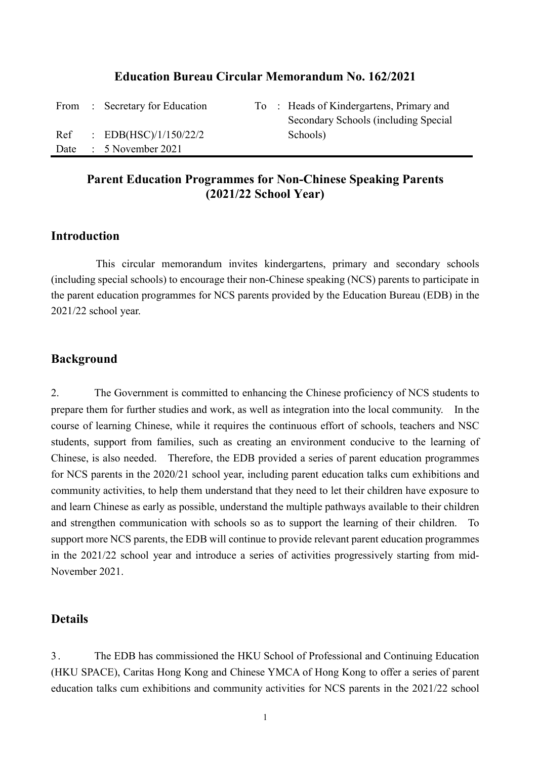#### **Education Bureau Circular Memorandum No. 162/2021**

From : Secretary for Education To : Heads of Kindergartens, Primary and Secondary Schools (including Special Ref : EDB(HSC)/1/150/22/2 Schools) Date : 5 November 2021

## **Parent Education Programmes for Non-Chinese Speaking Parents (2021/22 School Year)**

### **Introduction**

This circular memorandum invites kindergartens, primary and secondary schools (including special schools) to encourage their non-Chinese speaking (NCS) parents to participate in the parent education programmes for NCS parents provided by the Education Bureau (EDB) in the 2021/22 school year.

#### **Background**

2. The Government is committed to enhancing the Chinese proficiency of NCS students to prepare them for further studies and work, as well as integration into the local community. In the course of learning Chinese, while it requires the continuous effort of schools, teachers and NSC students, support from families, such as creating an environment conducive to the learning of Chinese, is also needed. Therefore, the EDB provided a series of parent education programmes for NCS parents in the 2020/21 school year, including parent education talks cum exhibitions and community activities, to help them understand that they need to let their children have exposure to and learn Chinese as early as possible, understand the multiple pathways available to their children and strengthen communication with schools so as to support the learning of their children. To support more NCS parents, the EDB will continue to provide relevant parent education programmes in the 2021/22 school year and introduce a series of activities progressively starting from mid-November 2021.

#### **Details**

3 . The EDB has commissioned the HKU School of Professional and Continuing Education (HKU SPACE), Caritas Hong Kong and Chinese YMCA of Hong Kong to offer a series of parent education talks cum exhibitions and community activities for NCS parents in the 2021/22 school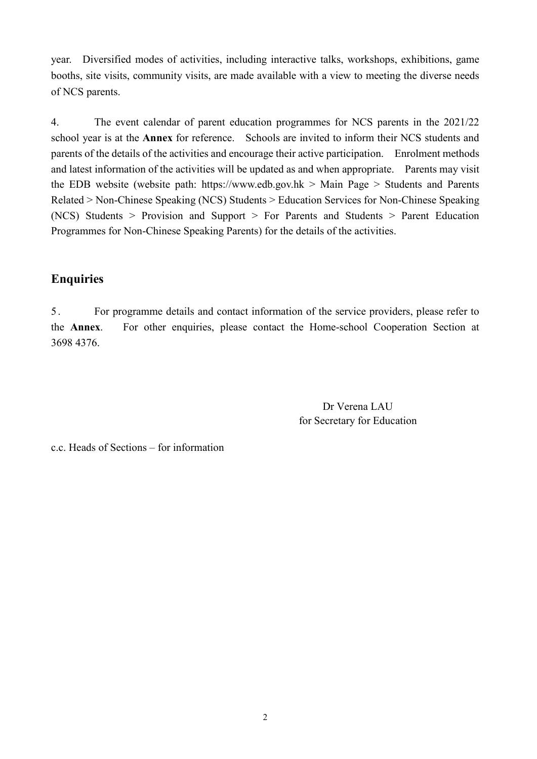year. Diversified modes of activities, including interactive talks, workshops, exhibitions, game booths, site visits, community visits, are made available with a view to meeting the diverse needs of NCS parents.

4. The event calendar of parent education programmes for NCS parents in the 2021/22 school year is at the **Annex** for reference. Schools are invited to inform their NCS students and parents of the details of the activities and encourage their active participation. Enrolment methods and latest information of the activities will be updated as and when appropriate. Parents may visit the EDB website (website path: [https://www.edb.gov.hk](https://www.edb.gov.hk/) > Main Page > Students and Parents Related > Non-Chinese Speaking (NCS) Students > Education Services for Non-Chinese Speaking (NCS) Students > Provision and Support > For Parents and Students > Parent Education Programmes for Non-Chinese Speaking Parents) for the details of the activities.

## **Enquiries**

5 . For programme details and contact information of the service providers, please refer to the **Annex**. For other enquiries, please contact the Home-school Cooperation Section at 3698 4376.

> Dr Verena LAU for Secretary for Education

c.c. Heads of Sections – for information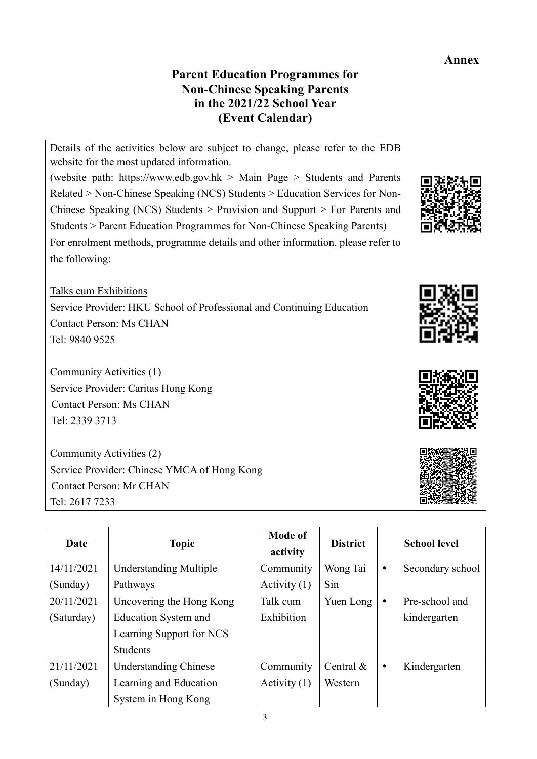## **Annex**

# **Parent Education Programmes for Non-Chinese Speaking Parents in the 2021/22 School Year (Event Calendar)**



Community Activities (2) Service Provider: Chinese YMCA of Hong Kong Contact Person: Mr CHAN Tel: 2617 7233

| Date       | <b>Topic</b>                  | Mode of<br>activity | <b>District</b> |           | <b>School level</b> |
|------------|-------------------------------|---------------------|-----------------|-----------|---------------------|
| 14/11/2021 | <b>Understanding Multiple</b> | Community           | Wong Tai        | ٠         | Secondary school    |
| (Sunday)   | Pathways                      | Activity $(1)$      | Sin             |           |                     |
| 20/11/2021 | Uncovering the Hong Kong      | Talk cum            | Yuen Long       | $\bullet$ | Pre-school and      |
| (Saturday) | Education System and          | Exhibition          |                 |           | kindergarten        |
|            | Learning Support for NCS      |                     |                 |           |                     |
|            | <b>Students</b>               |                     |                 |           |                     |
| 21/11/2021 | <b>Understanding Chinese</b>  | Community           | Central $\&$    | $\bullet$ | Kindergarten        |
| (Sunday)   | Learning and Education        | Activity $(1)$      | Western         |           |                     |
|            | System in Hong Kong           |                     |                 |           |                     |





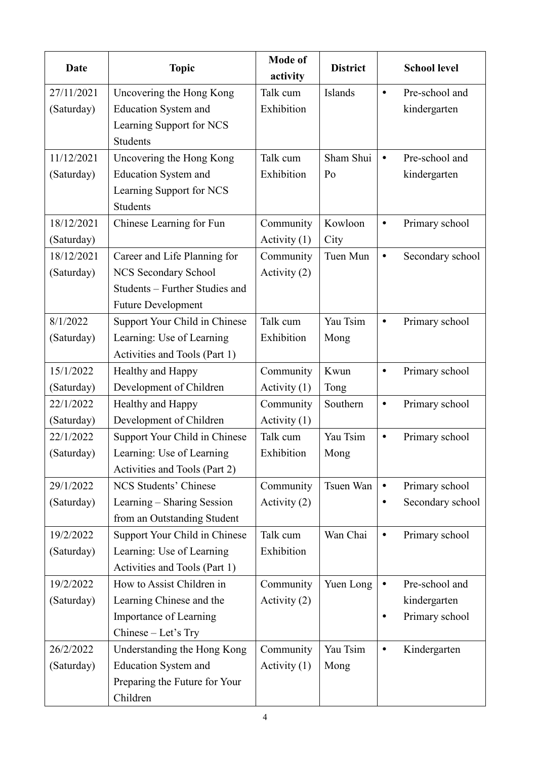| Date       | <b>Topic</b>                   | <b>Mode of</b><br>activity | <b>District</b> |           | <b>School level</b> |
|------------|--------------------------------|----------------------------|-----------------|-----------|---------------------|
| 27/11/2021 | Uncovering the Hong Kong       | Talk cum                   | Islands         | $\bullet$ | Pre-school and      |
| (Saturday) | <b>Education System and</b>    | Exhibition                 |                 |           | kindergarten        |
|            | Learning Support for NCS       |                            |                 |           |                     |
|            | <b>Students</b>                |                            |                 |           |                     |
| 11/12/2021 | Uncovering the Hong Kong       | Talk cum                   | Sham Shui       | $\bullet$ | Pre-school and      |
| (Saturday) | <b>Education System and</b>    | Exhibition                 | Po              |           | kindergarten        |
|            | Learning Support for NCS       |                            |                 |           |                     |
|            | <b>Students</b>                |                            |                 |           |                     |
| 18/12/2021 | Chinese Learning for Fun       | Community                  | Kowloon         | $\bullet$ | Primary school      |
| (Saturday) |                                | Activity $(1)$             | City            |           |                     |
| 18/12/2021 | Career and Life Planning for   | Community                  | Tuen Mun        | $\bullet$ | Secondary school    |
| (Saturday) | NCS Secondary School           | Activity (2)               |                 |           |                     |
|            | Students - Further Studies and |                            |                 |           |                     |
|            | <b>Future Development</b>      |                            |                 |           |                     |
| 8/1/2022   | Support Your Child in Chinese  | Talk cum                   | Yau Tsim        | $\bullet$ | Primary school      |
| (Saturday) | Learning: Use of Learning      | Exhibition                 | Mong            |           |                     |
|            | Activities and Tools (Part 1)  |                            |                 |           |                     |
| 15/1/2022  | Healthy and Happy              | Community                  | Kwun            | $\bullet$ | Primary school      |
| (Saturday) | Development of Children        | Activity $(1)$             | Tong            |           |                     |
| 22/1/2022  | Healthy and Happy              | Community                  | Southern        | $\bullet$ | Primary school      |
| (Saturday) | Development of Children        | Activity $(1)$             |                 |           |                     |
| 22/1/2022  | Support Your Child in Chinese  | Talk cum                   | Yau Tsim        | $\bullet$ | Primary school      |
| (Saturday) | Learning: Use of Learning      | Exhibition                 | Mong            |           |                     |
|            | Activities and Tools (Part 2)  |                            |                 |           |                     |
| 29/1/2022  | NCS Students' Chinese          | Community                  | Tsuen Wan       | $\bullet$ | Primary school      |
| (Saturday) | Learning - Sharing Session     | Activity (2)               |                 | $\bullet$ | Secondary school    |
|            | from an Outstanding Student    |                            |                 |           |                     |
| 19/2/2022  | Support Your Child in Chinese  | Talk cum                   | Wan Chai        | $\bullet$ | Primary school      |
| (Saturday) | Learning: Use of Learning      | Exhibition                 |                 |           |                     |
|            | Activities and Tools (Part 1)  |                            |                 |           |                     |
| 19/2/2022  | How to Assist Children in      | Community                  | Yuen Long       | $\bullet$ | Pre-school and      |
| (Saturday) | Learning Chinese and the       | Activity (2)               |                 |           | kindergarten        |
|            | Importance of Learning         |                            |                 |           | Primary school      |
|            | Chinese - Let's Try            |                            |                 |           |                     |
| 26/2/2022  | Understanding the Hong Kong    | Community                  | Yau Tsim        | ٠         | Kindergarten        |
| (Saturday) | <b>Education System and</b>    | Activity $(1)$             | Mong            |           |                     |
|            | Preparing the Future for Your  |                            |                 |           |                     |
|            | Children                       |                            |                 |           |                     |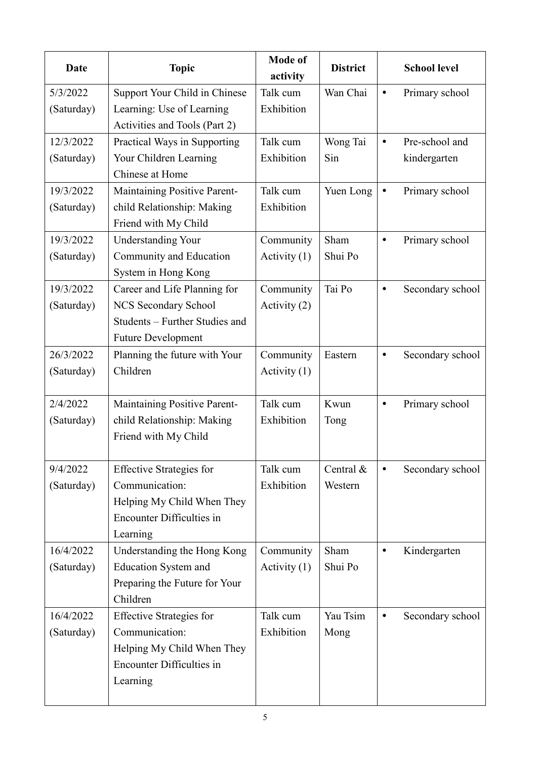| Date       | <b>Topic</b>                     | <b>Mode of</b><br>activity | <b>District</b> |           | <b>School level</b> |
|------------|----------------------------------|----------------------------|-----------------|-----------|---------------------|
| 5/3/2022   | Support Your Child in Chinese    | Talk cum                   | Wan Chai        | $\bullet$ | Primary school      |
| (Saturday) | Learning: Use of Learning        | Exhibition                 |                 |           |                     |
|            | Activities and Tools (Part 2)    |                            |                 |           |                     |
| 12/3/2022  | Practical Ways in Supporting     | Talk cum                   | Wong Tai        | $\bullet$ | Pre-school and      |
| (Saturday) | Your Children Learning           | Exhibition                 | Sin             |           | kindergarten        |
|            | Chinese at Home                  |                            |                 |           |                     |
| 19/3/2022  | Maintaining Positive Parent-     | Talk cum                   | Yuen Long       | $\bullet$ | Primary school      |
| (Saturday) | child Relationship: Making       | Exhibition                 |                 |           |                     |
|            | Friend with My Child             |                            |                 |           |                     |
| 19/3/2022  | <b>Understanding Your</b>        | Community                  | Sham            | $\bullet$ | Primary school      |
| (Saturday) | Community and Education          | Activity $(1)$             | Shui Po         |           |                     |
|            | System in Hong Kong              |                            |                 |           |                     |
| 19/3/2022  | Career and Life Planning for     | Community                  | Tai Po          | $\bullet$ | Secondary school    |
| (Saturday) | NCS Secondary School             | Activity (2)               |                 |           |                     |
|            | Students - Further Studies and   |                            |                 |           |                     |
|            | <b>Future Development</b>        |                            |                 |           |                     |
| 26/3/2022  | Planning the future with Your    | Community                  | Eastern         | $\bullet$ | Secondary school    |
| (Saturday) | Children                         | Activity $(1)$             |                 |           |                     |
|            |                                  |                            |                 |           |                     |
| 2/4/2022   | Maintaining Positive Parent-     | Talk cum                   | Kwun            | $\bullet$ | Primary school      |
| (Saturday) | child Relationship: Making       | Exhibition                 | Tong            |           |                     |
|            | Friend with My Child             |                            |                 |           |                     |
|            |                                  |                            |                 |           |                     |
| 9/4/2022   | <b>Effective Strategies for</b>  | Talk cum                   | Central &       | $\bullet$ | Secondary school    |
| (Saturday) | Communication:                   | Exhibition                 | Western         |           |                     |
|            | Helping My Child When They       |                            |                 |           |                     |
|            | <b>Encounter Difficulties in</b> |                            |                 |           |                     |
|            | Learning                         |                            |                 |           |                     |
| 16/4/2022  | Understanding the Hong Kong      | Community                  | Sham            | $\bullet$ | Kindergarten        |
| (Saturday) | <b>Education System and</b>      | Activity $(1)$             | Shui Po         |           |                     |
|            | Preparing the Future for Your    |                            |                 |           |                     |
|            | Children                         |                            |                 |           |                     |
| 16/4/2022  | <b>Effective Strategies for</b>  | Talk cum                   | Yau Tsim        | $\bullet$ | Secondary school    |
| (Saturday) | Communication:                   | Exhibition                 | Mong            |           |                     |
|            | Helping My Child When They       |                            |                 |           |                     |
|            | <b>Encounter Difficulties in</b> |                            |                 |           |                     |
|            | Learning                         |                            |                 |           |                     |
|            |                                  |                            |                 |           |                     |